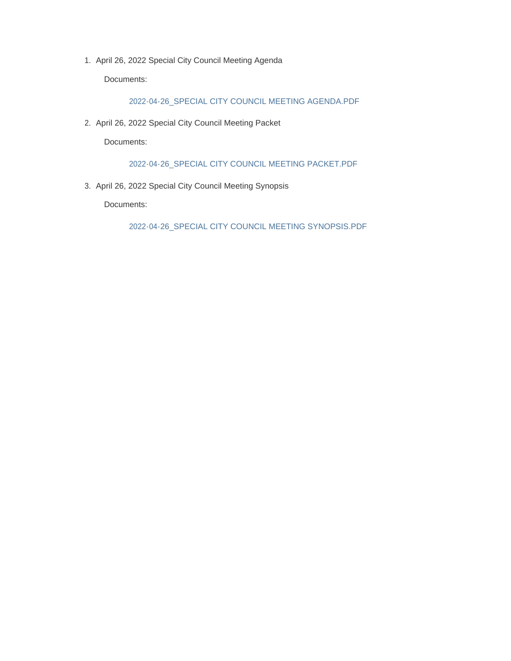1. April 26, 2022 Special City Council Meeting Agenda

Documents:

2022-04-26\_SPECIAL CITY COUNCIL MEETING AGENDA.PDF

2. April 26, 2022 Special City Council Meeting Packet

Documents:

2022-04-26\_SPECIAL CITY COUNCIL MEETING PACKET.PDF

3. April 26, 2022 Special City Council Meeting Synopsis

Documents:

2022-04-26\_SPECIAL CITY COUNCIL MEETING SYNOPSIS.PDF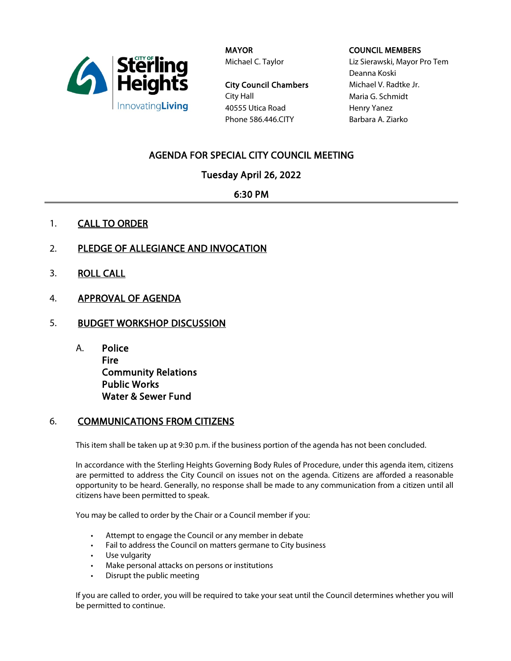

**MAYOR** Michael C. Taylor

City Council Chambers City Hall 40555 Utica Road Phone 586.446.CITY

#### COUNCIL MEMBERS

Liz Sierawski, Mayor Pro Tem Deanna Koski Michael V. Radtke Jr. Maria G. Schmidt Henry Yanez Barbara A. Ziarko

# AGENDA FOR SPECIAL CITY COUNCIL MEETING

Tuesday April 26, 2022

6:30 PM

- 1. CALL TO ORDER
- 2. PLEDGE OF ALLEGIANCE AND INVOCATION
- 3. ROLL CALL
- 4. APPROVAL OF AGENDA
- 5. BUDGET WORKSHOP DISCUSSION
	- A. Police Fire Community Relations Public Works Water & Sewer Fund

## 6. COMMUNICATIONS FROM CITIZENS

This item shall be taken up at 9:30 p.m. if the business portion of the agenda has not been concluded.

In accordance with the Sterling Heights Governing Body Rules of Procedure, under this agenda item, citizens are permitted to address the City Council on issues not on the agenda. Citizens are afforded a reasonable opportunity to be heard. Generally, no response shall be made to any communication from a citizen until all citizens have been permitted to speak.

You may be called to order by the Chair or a Council member if you:

- Attempt to engage the Council or any member in debate
- Fail to address the Council on matters germane to City business
- Use vulgarity
- Make personal attacks on persons or institutions
- Disrupt the public meeting

If you are called to order, you will be required to take your seat until the Council determines whether you will be permitted to continue.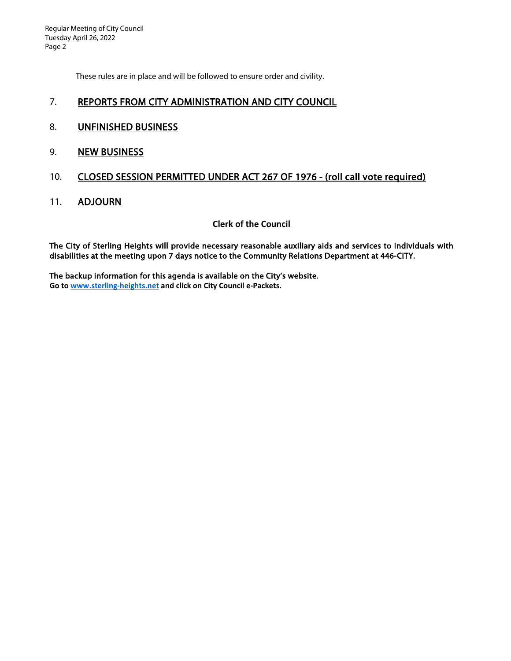Regular Meeting of City Council Tuesday April 26, 2022 Page 2

These rules are in place and will be followed to ensure order and civility.

### 7. REPORTS FROM CITY ADMINISTRATION AND CITY COUNCIL

- 8. UNFINISHED BUSINESS
- 9. NEW BUSINESS

## 10. CLOSED SESSION PERMITTED UNDER ACT 267 OF 1976 - (roll call vote required)

11. **ADJOURN** 

### **Clerk of the Council**

The City of Sterling Heights will provide necessary reasonable auxiliary aids and services to individuals with disabilities at the meeting upon 7 days notice to the Community Relations Department at 446-CITY.

The backup information for this agenda is available on the City's website. **Go t[o www.sterling-heights.net](http://www.sterling-heights.net/) and click on City Council e-Packets.**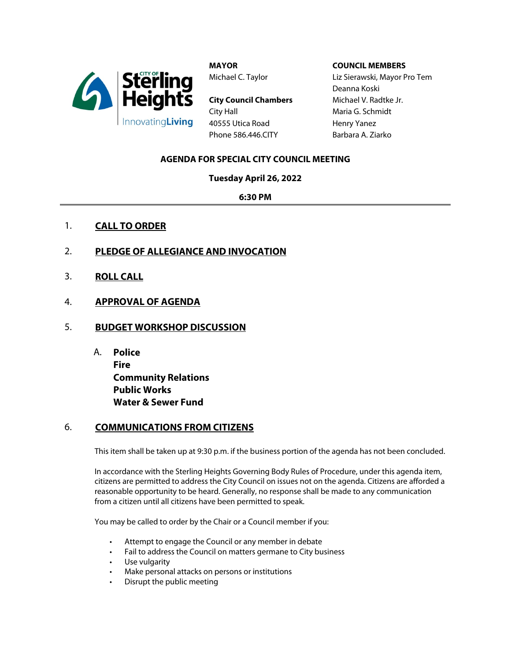

**MAYOR** Michael C. Taylor

**City Council Chambers** City Hall 40555 Utica Road Phone 586.446.CITY

#### **COUNCIL MEMBERS**

Liz Sierawski, Mayor Pro Tem Deanna Koski Michael V. Radtke Jr. Maria G. Schmidt Henry Yanez Barbara A. Ziarko

### **AGENDA FOR SPECIAL CITY COUNCIL MEETING**

**Tuesday April 26, 2022**

**6:30 PM**

- 1. **CALL TO ORDER**
- 2. **PLEDGE OF ALLEGIANCE AND INVOCATION**
- 3. **ROLL CALL**
- 4. **APPROVAL OF AGENDA**
- 5. **BUDGET WORKSHOP DISCUSSION**
	- A. **Police Fire Community Relations Public Works Water & Sewer Fund**

### 6. **COMMUNICATIONS FROM CITIZENS**

This item shall be taken up at 9:30 p.m. if the business portion of the agenda has not been concluded.

In accordance with the Sterling Heights Governing Body Rules of Procedure, under this agenda item, citizens are permitted to address the City Council on issues not on the agenda. Citizens are afforded a reasonable opportunity to be heard. Generally, no response shall be made to any communication from a citizen until all citizens have been permitted to speak.

You may be called to order by the Chair or a Council member if you:

- Attempt to engage the Council or any member in debate
- Fail to address the Council on matters germane to City business
- Use vulgarity
- Make personal attacks on persons or institutions
- Disrupt the public meeting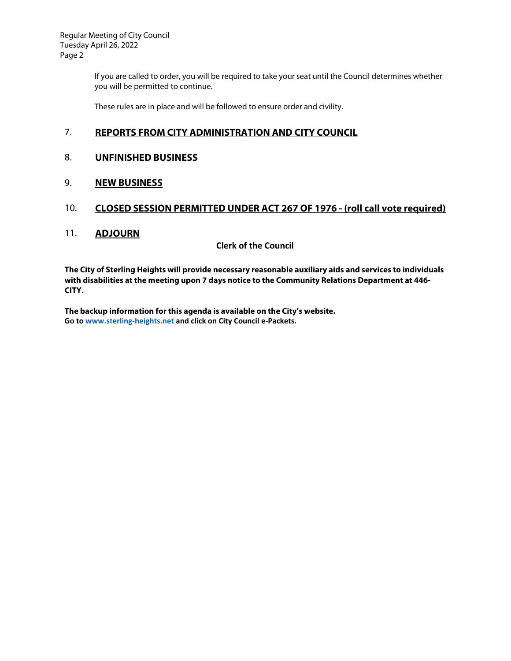Regular Meeting of City Council Tuesday April 26, 2022 Page 2

> If you are called to order, you will be required to take your seat until the Council determines whether you will be permitted to continue.

These rules are in place and will be followed to ensure order and civility.

## 7. **REPORTS FROM CITY ADMINISTRATION AND CITY COUNCIL**

#### 8. **UNFINISHED BUSINESS**

#### 9. **NEW BUSINESS**

### 10. **CLOSED SESSION PERMITTED UNDER ACT 267 OF 1976 - (roll call vote required)**

#### 11. **ADJOURN**

**Clerk of the Council**

**The City of Sterling Heights will provide necessary reasonable auxiliary aids and services to individuals with disabilities at the meeting upon 7 days notice to the Community Relations Department at 446- CITY.** 

**The backup information for this agenda is available on the City's website. Go to [www.sterling-heights.net](http://www.sterling-heights.net/) and click on City Council e-Packets.**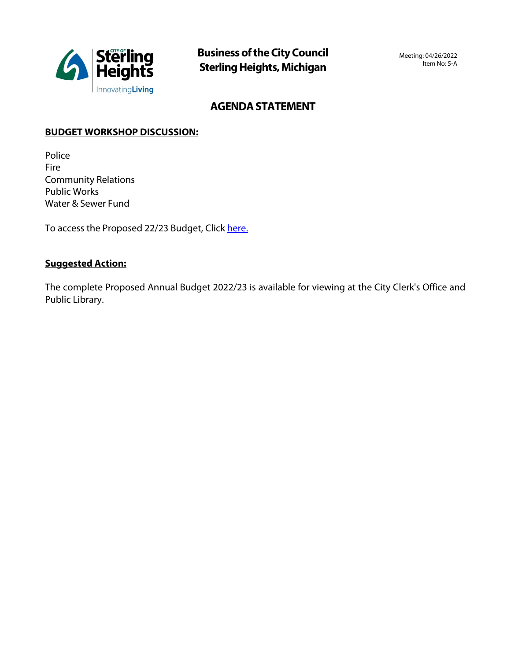

# **AGENDA STATEMENT**

## **BUDGET WORKSHOP DISCUSSION:**

Police Fire Community Relations Public Works Water & Sewer Fund

To access the Proposed 22/23 Budget, Click [here.](https://www.sterling-heights.net/DocumentCenter/View/11126/2022-23-Annual-Proposed-Budget-Book)

## **Suggested Action:**

The complete Proposed Annual Budget 2022/23 is available for viewing at the City Clerk's Office and Public Library.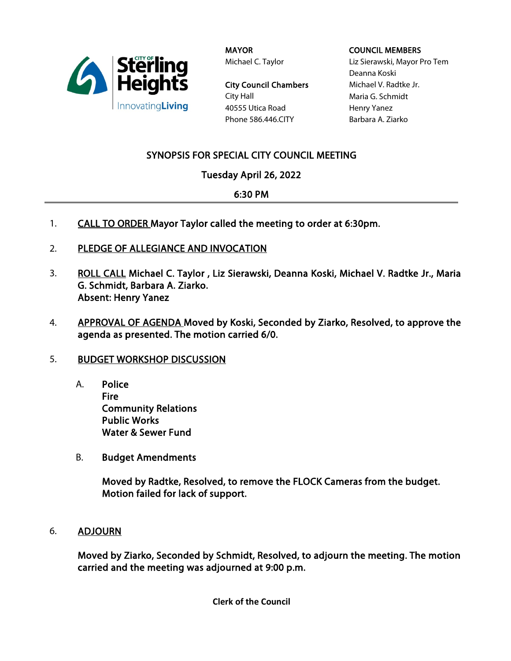

**MAYOR** Michael C. Taylor

City Council Chambers City Hall 40555 Utica Road Phone 586.446.CITY

#### COUNCIL MEMBERS

Liz Sierawski, Mayor Pro Tem Deanna Koski Michael V. Radtke Jr. Maria G. Schmidt Henry Yanez Barbara A. Ziarko

# SYNOPSIS FOR SPECIAL CITY COUNCIL MEETING

# Tuesday April 26, 2022

## 6:30 PM

- 1. CALL TO ORDER Mayor Taylor called the meeting to order at 6:30pm.
- 2. PLEDGE OF ALLEGIANCE AND INVOCATION
- 3. ROLL CALL Michael C. Taylor, Liz Sierawski, Deanna Koski, Michael V. Radtke Jr., Maria G. Schmidt, Barbara A. Ziarko. Absent: Henry Yanez
- 4. APPROVAL OF AGENDA Moved by Koski, Seconded by Ziarko, Resolved, to approve the agenda as presented. The motion carried 6/0.

## 5. BUDGET WORKSHOP DISCUSSION

- A. Police Fire Community Relations Public Works Water & Sewer Fund
- B. Budget Amendments

Moved by Radtke, Resolved, to remove the FLOCK Cameras from the budget. Motion failed for lack of support.

6. ADJOURN

Moved by Ziarko, Seconded by Schmidt, Resolved, to adjourn the meeting. The motion carried and the meeting was adjourned at 9:00 p.m.

**Clerk of the Council**